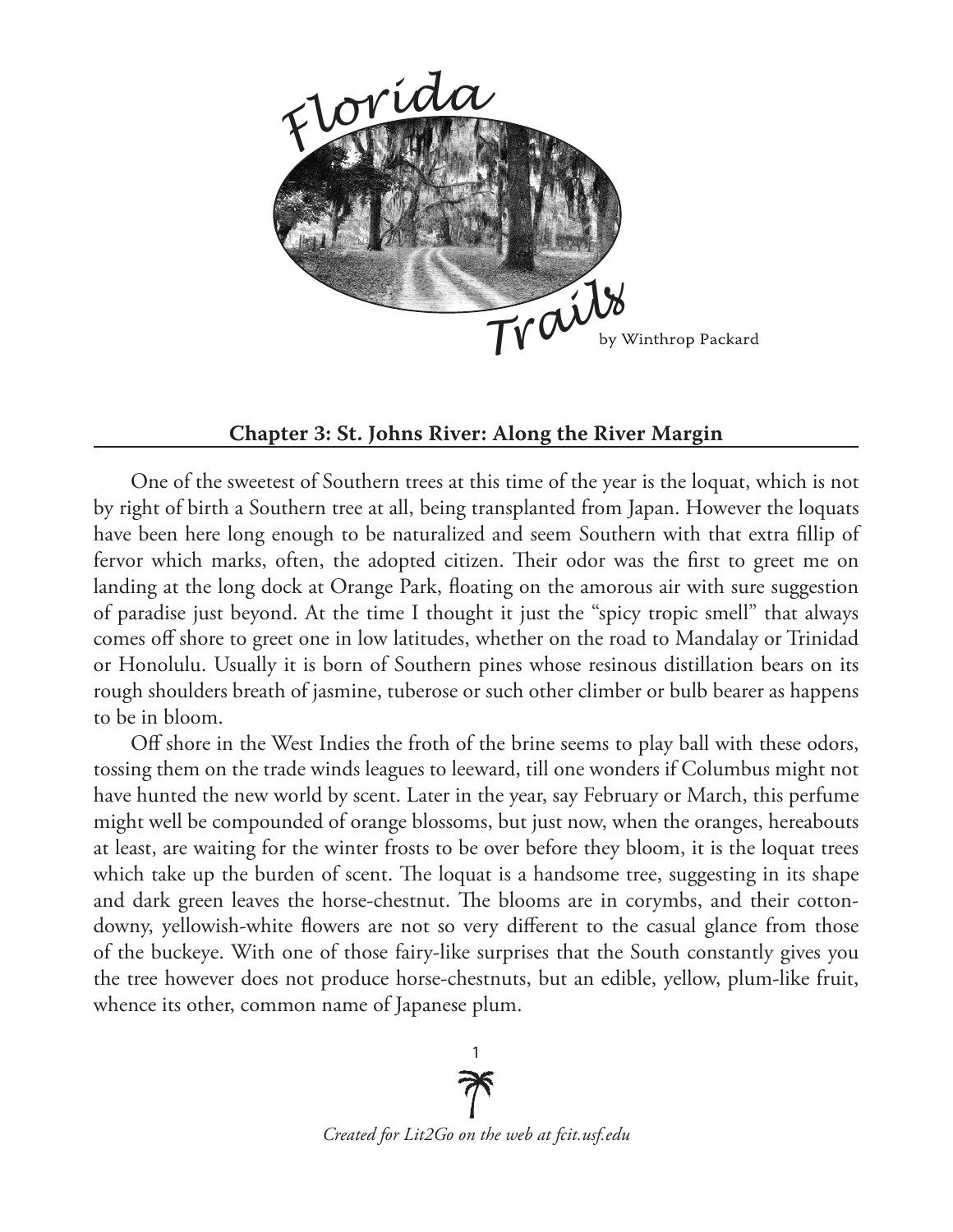

## **Chapter 3: St. Johns River: Along the River Margin**

One of the sweetest of Southern trees at this time of the year is the loquat, which is not by right of birth a Southern tree at all, being transplanted from Japan. However the loquats have been here long enough to be naturalized and seem Southern with that extra fillip of fervor which marks, often, the adopted citizen. Their odor was the first to greet me on landing at the long dock at Orange Park, floating on the amorous air with sure suggestion of paradise just beyond. At the time I thought it just the "spicy tropic smell" that always comes off shore to greet one in low latitudes, whether on the road to Mandalay or Trinidad or Honolulu. Usually it is born of Southern pines whose resinous distillation bears on its rough shoulders breath of jasmine, tuberose or such other climber or bulb bearer as happens to be in bloom.

Off shore in the West Indies the froth of the brine seems to play ball with these odors, tossing them on the trade winds leagues to leeward, till one wonders if Columbus might not have hunted the new world by scent. Later in the year, say February or March, this perfume might well be compounded of orange blossoms, but just now, when the oranges, hereabouts at least, are waiting for the winter frosts to be over before they bloom, it is the loquat trees which take up the burden of scent. The loquat is a handsome tree, suggesting in its shape and dark green leaves the horse-chestnut. The blooms are in corymbs, and their cottondowny, yellowish-white flowers are not so very different to the casual glance from those of the buckeye. With one of those fairy-like surprises that the South constantly gives you the tree however does not produce horse-chestnuts, but an edible, yellow, plum-like fruit, whence its other, common name of Japanese plum.

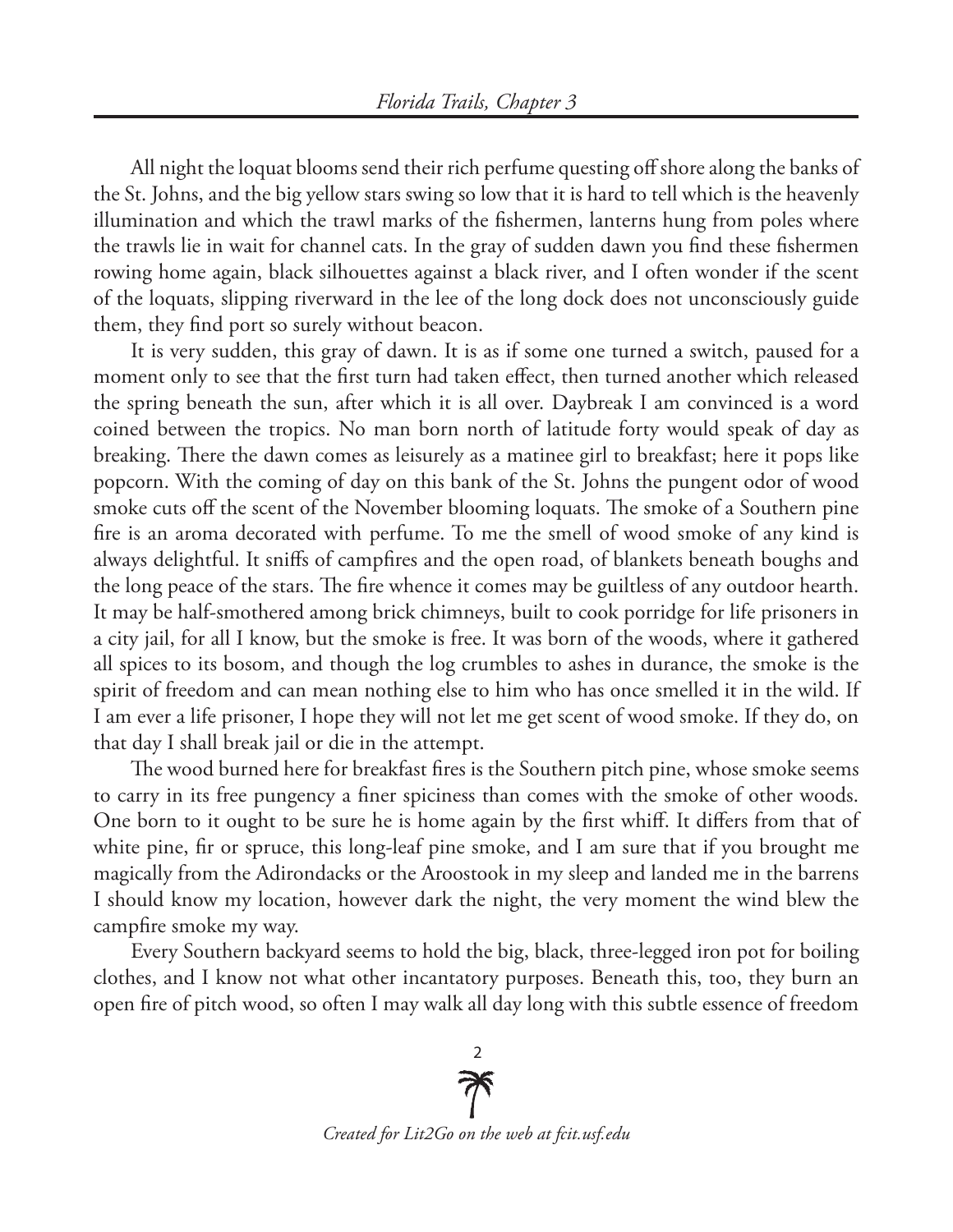All night the loquat blooms send their rich perfume questing off shore along the banks of the St. Johns, and the big yellow stars swing so low that it is hard to tell which is the heavenly illumination and which the trawl marks of the fishermen, lanterns hung from poles where the trawls lie in wait for channel cats. In the gray of sudden dawn you find these fishermen rowing home again, black silhouettes against a black river, and I often wonder if the scent of the loquats, slipping riverward in the lee of the long dock does not unconsciously guide them, they find port so surely without beacon.

It is very sudden, this gray of dawn. It is as if some one turned a switch, paused for a moment only to see that the first turn had taken effect, then turned another which released the spring beneath the sun, after which it is all over. Daybreak I am convinced is a word coined between the tropics. No man born north of latitude forty would speak of day as breaking. There the dawn comes as leisurely as a matinee girl to breakfast; here it pops like popcorn. With the coming of day on this bank of the St. Johns the pungent odor of wood smoke cuts off the scent of the November blooming loquats. The smoke of a Southern pine fire is an aroma decorated with perfume. To me the smell of wood smoke of any kind is always delightful. It sniffs of campfires and the open road, of blankets beneath boughs and the long peace of the stars. The fire whence it comes may be guiltless of any outdoor hearth. It may be half-smothered among brick chimneys, built to cook porridge for life prisoners in a city jail, for all I know, but the smoke is free. It was born of the woods, where it gathered all spices to its bosom, and though the log crumbles to ashes in durance, the smoke is the spirit of freedom and can mean nothing else to him who has once smelled it in the wild. If I am ever a life prisoner, I hope they will not let me get scent of wood smoke. If they do, on that day I shall break jail or die in the attempt.

The wood burned here for breakfast fires is the Southern pitch pine, whose smoke seems to carry in its free pungency a finer spiciness than comes with the smoke of other woods. One born to it ought to be sure he is home again by the first whiff. It differs from that of white pine, fir or spruce, this long-leaf pine smoke, and I am sure that if you brought me magically from the Adirondacks or the Aroostook in my sleep and landed me in the barrens I should know my location, however dark the night, the very moment the wind blew the campfire smoke my way.

Every Southern backyard seems to hold the big, black, three-legged iron pot for boiling clothes, and I know not what other incantatory purposes. Beneath this, too, they burn an open fire of pitch wood, so often I may walk all day long with this subtle essence of freedom

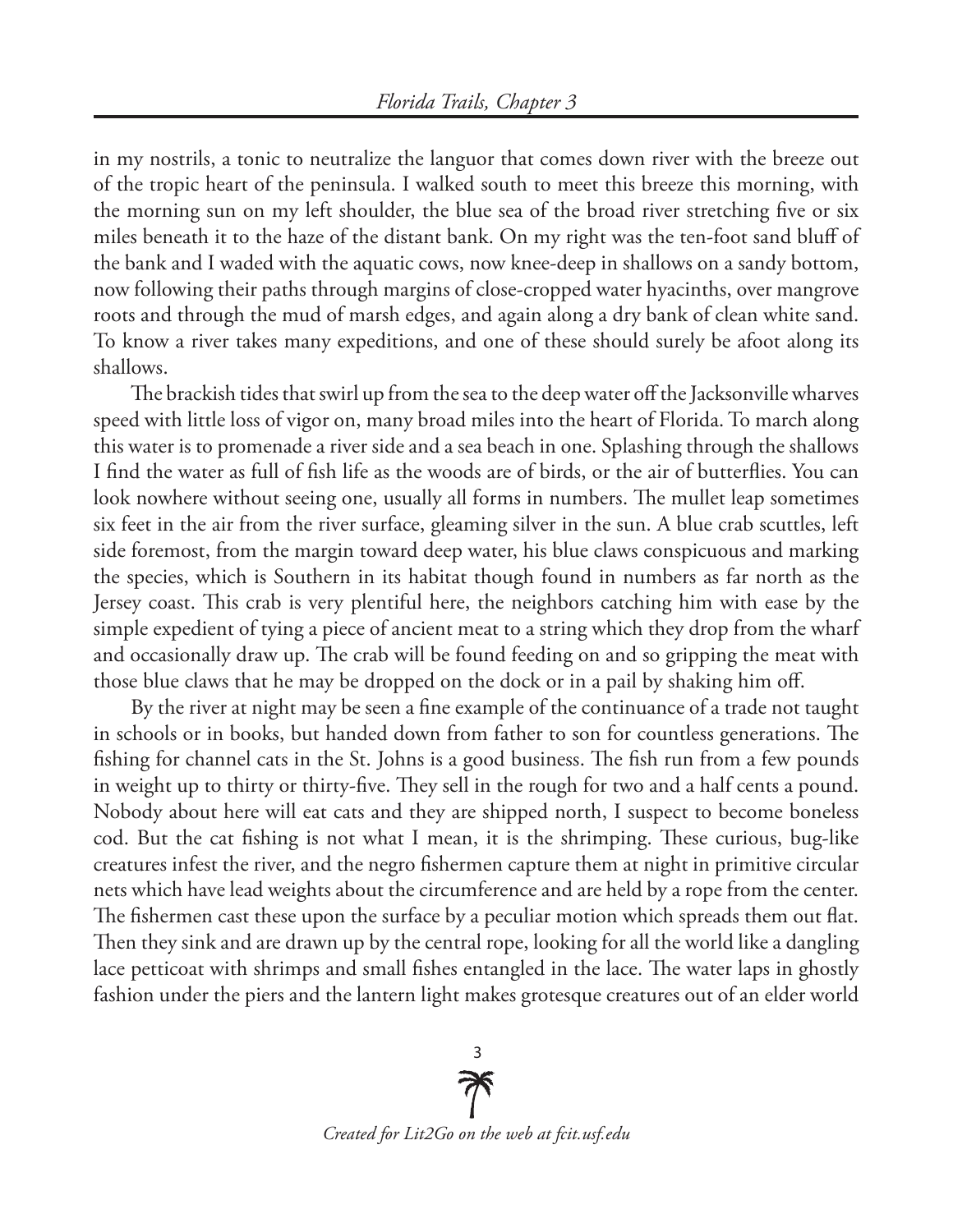in my nostrils, a tonic to neutralize the languor that comes down river with the breeze out of the tropic heart of the peninsula. I walked south to meet this breeze this morning, with the morning sun on my left shoulder, the blue sea of the broad river stretching five or six miles beneath it to the haze of the distant bank. On my right was the ten-foot sand bluff of the bank and I waded with the aquatic cows, now knee-deep in shallows on a sandy bottom, now following their paths through margins of close-cropped water hyacinths, over mangrove roots and through the mud of marsh edges, and again along a dry bank of clean white sand. To know a river takes many expeditions, and one of these should surely be afoot along its shallows.

The brackish tides that swirl up from the sea to the deep water off the Jacksonville wharves speed with little loss of vigor on, many broad miles into the heart of Florida. To march along this water is to promenade a river side and a sea beach in one. Splashing through the shallows I find the water as full of fish life as the woods are of birds, or the air of butterflies. You can look nowhere without seeing one, usually all forms in numbers. The mullet leap sometimes six feet in the air from the river surface, gleaming silver in the sun. A blue crab scuttles, left side foremost, from the margin toward deep water, his blue claws conspicuous and marking the species, which is Southern in its habitat though found in numbers as far north as the Jersey coast. This crab is very plentiful here, the neighbors catching him with ease by the simple expedient of tying a piece of ancient meat to a string which they drop from the wharf and occasionally draw up. The crab will be found feeding on and so gripping the meat with those blue claws that he may be dropped on the dock or in a pail by shaking him off.

By the river at night may be seen a fine example of the continuance of a trade not taught in schools or in books, but handed down from father to son for countless generations. The fishing for channel cats in the St. Johns is a good business. The fish run from a few pounds in weight up to thirty or thirty-five. They sell in the rough for two and a half cents a pound. Nobody about here will eat cats and they are shipped north, I suspect to become boneless cod. But the cat fishing is not what I mean, it is the shrimping. These curious, bug-like creatures infest the river, and the negro fishermen capture them at night in primitive circular nets which have lead weights about the circumference and are held by a rope from the center. The fishermen cast these upon the surface by a peculiar motion which spreads them out flat. Then they sink and are drawn up by the central rope, looking for all the world like a dangling lace petticoat with shrimps and small fishes entangled in the lace. The water laps in ghostly fashion under the piers and the lantern light makes grotesque creatures out of an elder world

> $\overline{3}$ *Created for Lit2Go on the web at fcit.usf.edu*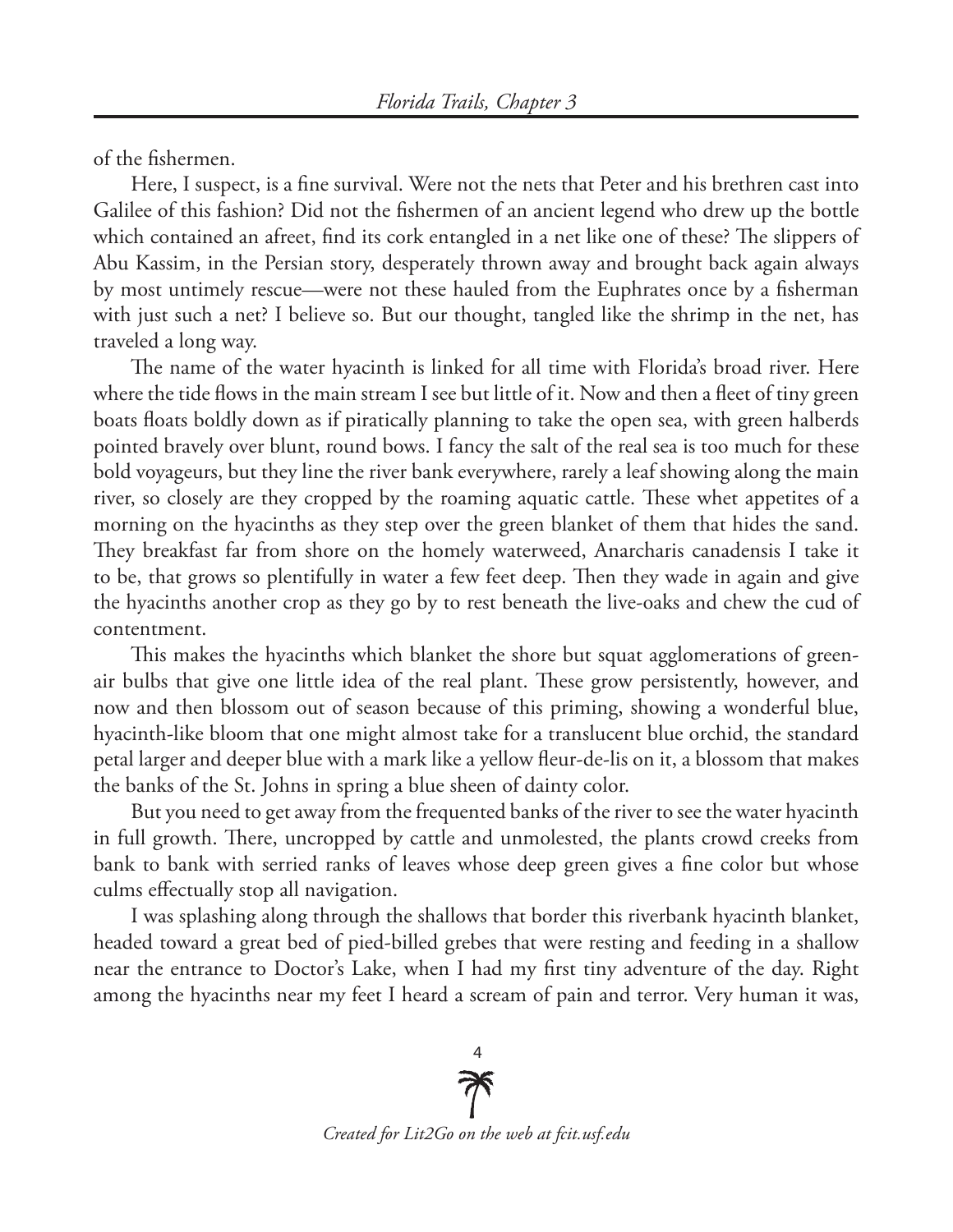of the fishermen.

Here, I suspect, is a fine survival. Were not the nets that Peter and his brethren cast into Galilee of this fashion? Did not the fishermen of an ancient legend who drew up the bottle which contained an afreet, find its cork entangled in a net like one of these? The slippers of Abu Kassim, in the Persian story, desperately thrown away and brought back again always by most untimely rescue—were not these hauled from the Euphrates once by a fisherman with just such a net? I believe so. But our thought, tangled like the shrimp in the net, has traveled a long way.

The name of the water hyacinth is linked for all time with Florida's broad river. Here where the tide flows in the main stream I see but little of it. Now and then a fleet of tiny green boats floats boldly down as if piratically planning to take the open sea, with green halberds pointed bravely over blunt, round bows. I fancy the salt of the real sea is too much for these bold voyageurs, but they line the river bank everywhere, rarely a leaf showing along the main river, so closely are they cropped by the roaming aquatic cattle. These whet appetites of a morning on the hyacinths as they step over the green blanket of them that hides the sand. They breakfast far from shore on the homely waterweed, Anarcharis canadensis I take it to be, that grows so plentifully in water a few feet deep. Then they wade in again and give the hyacinths another crop as they go by to rest beneath the live-oaks and chew the cud of contentment.

This makes the hyacinths which blanket the shore but squat agglomerations of greenair bulbs that give one little idea of the real plant. These grow persistently, however, and now and then blossom out of season because of this priming, showing a wonderful blue, hyacinth-like bloom that one might almost take for a translucent blue orchid, the standard petal larger and deeper blue with a mark like a yellow fleur-de-lis on it, a blossom that makes the banks of the St. Johns in spring a blue sheen of dainty color.

But you need to get away from the frequented banks of the river to see the water hyacinth in full growth. There, uncropped by cattle and unmolested, the plants crowd creeks from bank to bank with serried ranks of leaves whose deep green gives a fine color but whose culms effectually stop all navigation.

I was splashing along through the shallows that border this riverbank hyacinth blanket, headed toward a great bed of pied-billed grebes that were resting and feeding in a shallow near the entrance to Doctor's Lake, when I had my first tiny adventure of the day. Right among the hyacinths near my feet I heard a scream of pain and terror. Very human it was,

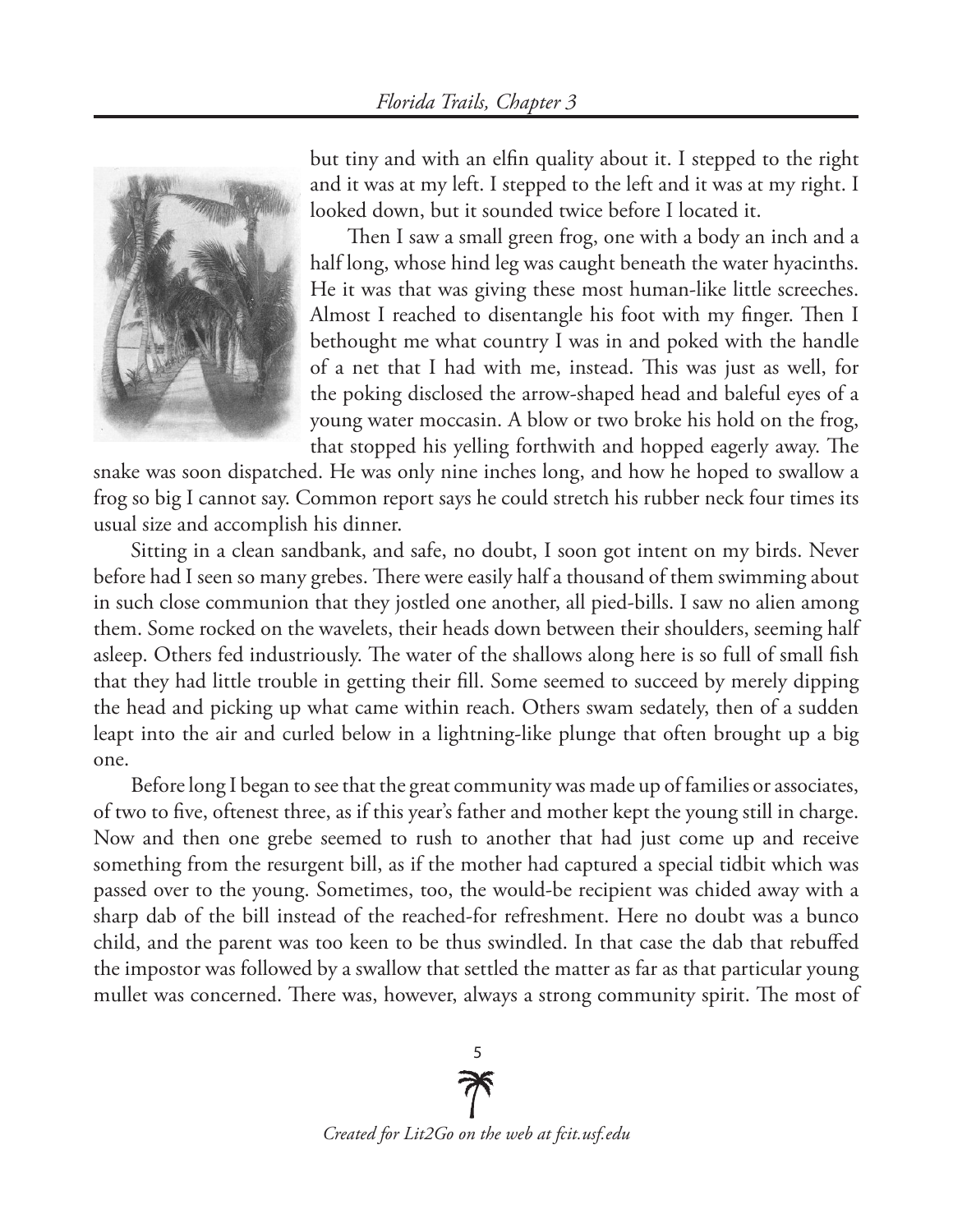

but tiny and with an elfin quality about it. I stepped to the right and it was at my left. I stepped to the left and it was at my right. I looked down, but it sounded twice before I located it.

Then I saw a small green frog, one with a body an inch and a half long, whose hind leg was caught beneath the water hyacinths. He it was that was giving these most human-like little screeches. Almost I reached to disentangle his foot with my finger. Then I bethought me what country I was in and poked with the handle of a net that I had with me, instead. This was just as well, for the poking disclosed the arrow-shaped head and baleful eyes of a young water moccasin. A blow or two broke his hold on the frog, that stopped his yelling forthwith and hopped eagerly away. The

snake was soon dispatched. He was only nine inches long, and how he hoped to swallow a frog so big I cannot say. Common report says he could stretch his rubber neck four times its usual size and accomplish his dinner.

Sitting in a clean sandbank, and safe, no doubt, I soon got intent on my birds. Never before had I seen so many grebes. There were easily half a thousand of them swimming about in such close communion that they jostled one another, all pied-bills. I saw no alien among them. Some rocked on the wavelets, their heads down between their shoulders, seeming half asleep. Others fed industriously. The water of the shallows along here is so full of small fish that they had little trouble in getting their fill. Some seemed to succeed by merely dipping the head and picking up what came within reach. Others swam sedately, then of a sudden leapt into the air and curled below in a lightning-like plunge that often brought up a big one.

Before long I began to see that the great community was made up of families or associates, of two to five, oftenest three, as if this year's father and mother kept the young still in charge. Now and then one grebe seemed to rush to another that had just come up and receive something from the resurgent bill, as if the mother had captured a special tidbit which was passed over to the young. Sometimes, too, the would-be recipient was chided away with a sharp dab of the bill instead of the reached-for refreshment. Here no doubt was a bunco child, and the parent was too keen to be thus swindled. In that case the dab that rebuffed the impostor was followed by a swallow that settled the matter as far as that particular young mullet was concerned. There was, however, always a strong community spirit. The most of

> 5 *Created for Lit2Go on the web at fcit.usf.edu*